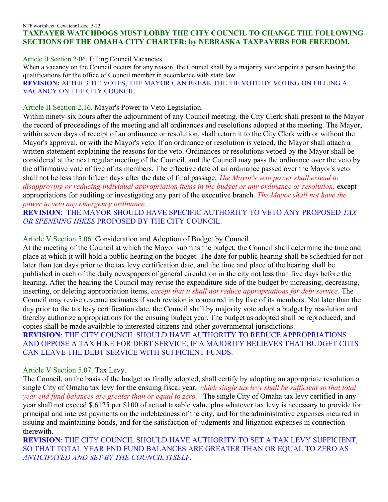## NTF worksheet: Ccwatch61.doc. 5-22. **TAXPAYER WATCHDOGS MUST LOBBY THE CITY COUNCIL TO CHANGE THE FOLLOWING SECTIONS OF THE OMAHA CITY CHARTER: by NEBRASKA TAXPAYERS FOR FREEDOM.**

Article II Section 2-06. Filling Council Vacancies.

When a vacancy on the Council occurs for any reason, the Council shall by a majority vote appoint a person having the qualifications for the office of Council member in accordance with state law. **REVISION:** AFTER 3 TIE VOTES, THE MAYOR CAN BREAK THE TIE VOTE BY VOTING ON FILLING A VACANCY ON THE CITY COUNCIL.

## Article II Section 2.16. Mayor's Power to Veto Legislation.

Within ninety-six hours after the adjournment of any Council meeting, the City Clerk shall present to the Mayor the record of proceedings of the meeting and all ordinances and resolutions adopted at the meeting. The Mayor, within seven days of receipt of an ordinance or resolution, shall return it to the City Clerk with or without the Mayor's approval, or with the Mayor's veto. If an ordinance or resolution is vetoed, the Mayor shall attach a written statement explaining the reasons for the veto. Ordinances or resolutions vetoed by the Mayor shall be considered at the next regular meeting of the Council, and the Council may pass the ordinance over the veto by the affirmative vote of five of its members. The effective date of an ordinance passed over the Mayor's veto shall not be less than fifteen days after the date of final passage. *The Mayor's veto power shall extend to disapproving or reducing individual appropriation items in the budget or any ordinance or resolution,* except appropriations for auditing or investigating any part of the executive branch. *The Mayor shall not have the power to veto any emergency ordinance.* 

**REVISION**: THE MAYOR SHOULD HAVE SPECIFIC AUTHORITY TO VETO ANY PROPOSED *TAX OR SPENDING HIKES* PROPOSED BY THE CITY COUNCIL.

## Article V Section 5.06. Consideration and Adoption of Budget by Council.

At the meeting of the Council at which the Mayor submits the budget, the Council shall determine the time and place at which it will hold a public hearing on the budget. The date for public hearing shall be scheduled for not later than ten days prior to the tax levy certification date, and the time and place of the hearing shall be published in each of the daily newspapers of general circulation in the city not less than five days before the hearing. After the hearing the Council may revise the expenditure side of the budget by increasing, decreasing, inserting, or deleting appropriation items, *except that it shall not reduce appropriations for debt service.* The Council may revise revenue estimates if such revision is concurred in by five of its members. Not later than the day prior to the tax levy certification date, the Council shall by majority vote adopt a budget by resolution and thereby authorize appropriations for the ensuing budget year. The budget as adopted shall be reproduced, and copies shall be made available to interested citizens and other governmental jurisdictions. **REVISION**: THE CITY COUNCIL SHOULD HAVE AUTHORITY TO REDUCE APPROPRIATIONS AND OPPOSE A TAX HIKE FOR DEBT SERVICE, IF A MAJORITY BELIEVES THAT BUDGET CUTS CAN LEAVE THE DEBT SERVICE WITH SUFFICIENT FUNDS.

## Article V Section 5.07. Tax Levy.

The Council, on the basis of the budget as finally adopted, shall certify by adopting an appropriate resolution a single City of Omaha tax levy for the ensuing fiscal year, *which single tax levy shall be sufficient so that total year end fund balances are greater than or equal to zero.* The single City of Omaha tax levy certified in any year shall not exceed \$.6125 per \$100 of actual taxable value plus whatever tax levy is necessary to provide for principal and interest payments on the indebtedness of the city, and for the administrative expenses incurred in issuing and maintaining bonds, and for the satisfaction of judgments and litigation expenses in connection therewith.

**REVISION**: THE CITY COUNCIL SHOULD HAVE AUTHORITY TO SET A TAX LEVY SUFFICIENT, SO THAT TOTAL YEAR END FUND BALANCES ARE GREATER THAN OR EQUAL TO ZERO AS *ANTICIPATED AND SET BY THE COUNCIL ITSELF.*